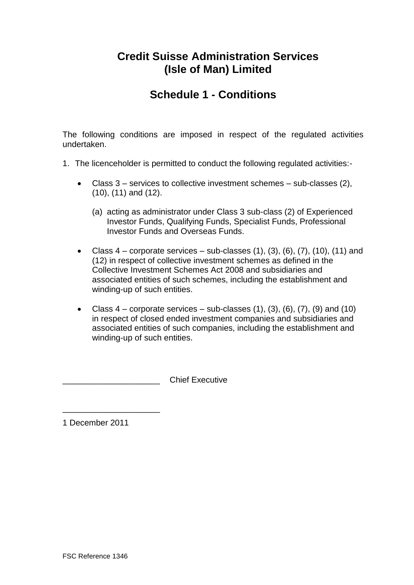## **Credit Suisse Administration Services (Isle of Man) Limited**

# **Schedule 1 - Conditions**

The following conditions are imposed in respect of the regulated activities undertaken.

- 1. The licenceholder is permitted to conduct the following regulated activities:-
	- $\bullet$  Class 3 services to collective investment schemes sub-classes (2), (10), (11) and (12).
		- (a) acting as administrator under Class 3 sub-class (2) of Experienced Investor Funds, Qualifying Funds, Specialist Funds, Professional Investor Funds and Overseas Funds.
	- Class  $4$  corporate services sub-classes  $(1)$ ,  $(3)$ ,  $(6)$ ,  $(7)$ ,  $(10)$ ,  $(11)$  and (12) in respect of collective investment schemes as defined in the Collective Investment Schemes Act 2008 and subsidiaries and associated entities of such schemes, including the establishment and winding-up of such entities.
	- Class  $4$  corporate services sub-classes  $(1)$ ,  $(3)$ ,  $(6)$ ,  $(7)$ ,  $(9)$  and  $(10)$ in respect of closed ended investment companies and subsidiaries and associated entities of such companies, including the establishment and winding-up of such entities.

\_\_\_\_\_\_\_\_\_\_\_\_\_\_\_\_\_\_\_\_\_Chief Executive

1 December 2011

\_\_\_\_\_\_\_\_\_\_\_\_\_\_\_\_\_\_\_\_\_